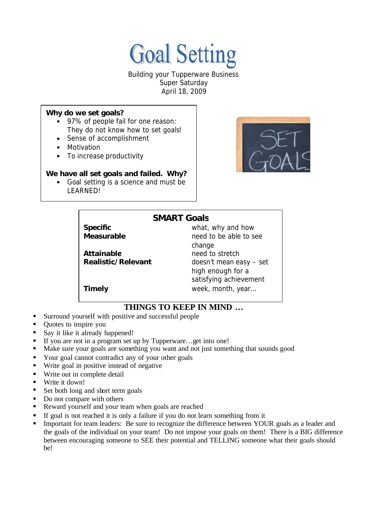

Building your Tupperware Business Super Saturday April 18, 2009

#### *Why do we set goals?*

- 97% of people fail for one reason: They do not know how to set goals!
- Sense of accomplishment
- **•** Motivation
- To increase productivity

### *We have all set goals and failed. Why?*

Goal setting is a science and must be LEARNED!



# **SMART Goals**

Attainable **need** to stretch

**Specific Specific** what, why and how **Measurable need to be able to see** change **Realistic/Relevant** doesn't mean easy – set high enough for a satisfying achievement **Timely** week, month, year…

# **THINGS TO KEEP IN MIND …**

- ß Surround yourself with positive and successful people
- Quotes to inspire you
- Say it like it already happened!
- ß If you are not in a program set up by Tupperware…get into one!
- Make sure your goals are something you want and not just something that sounds good
- Your goal cannot contradict any of your other goals
- Write goal in positive instead of negative
- Write out in complete detail
- Write it down!
- Set both long and short term goals
- $\blacksquare$  Do not compare with others
- ß Reward yourself and your team when goals are reached
- ß If goal is not reached it is only a failure if you do not learn something from it
- ß Important for team leaders: Be sure to recognize the difference between YOUR goals as a leader and the goals of the individual on your team! Do not impose your goals on them! There is a BIG difference between encouraging someone to SEE their potential and TELLING someone what their goals should be!